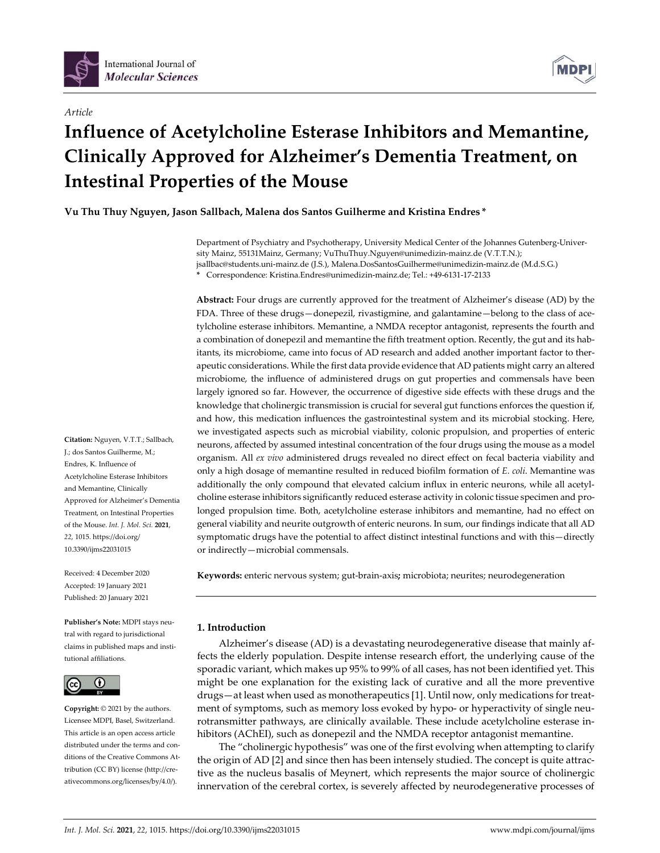



# **Influence of Acetylcholine Esterase Inhibitors and Memantine, Clinically Approved for Alzheimer's Dementia Treatment, on Intestinal Properties of the Mouse**

**Vu Thu Thuy Nguyen, Jason Sallbach, Malena dos Santos Guilherme and Kristina Endres \***

Department of Psychiatry and Psychotherapy, University Medical Center of the Johannes Gutenberg-University Mainz, 55131Mainz, Germany; VuThuThuy.Nguyen@unimedizin-mainz.de (V.T.T.N.); jsallbac@students.uni-mainz.de (J.S.), Malena.DosSantosGuilherme@unimedizin-mainz.de (M.d.S.G.) **\*** Correspondence: Kristina.Endres@unimedizin-mainz.de; Tel.: +49-6131-17-2133

**Abstract:** Four drugs are currently approved for the treatment of Alzheimer's disease (AD) by the FDA. Three of these drugs—donepezil, rivastigmine, and galantamine—belong to the class of acetylcholine esterase inhibitors. Memantine, a NMDA receptor antagonist, represents the fourth and a combination of donepezil and memantine the fifth treatment option. Recently, the gut and its habitants, its microbiome, came into focus of AD research and added another important factor to therapeutic considerations. While the first data provide evidence that AD patients might carry an altered microbiome, the influence of administered drugs on gut properties and commensals have been largely ignored so far. However, the occurrence of digestive side effects with these drugs and the knowledge that cholinergic transmission is crucial for several gut functions enforces the question if, and how, this medication influences the gastrointestinal system and its microbial stocking. Here, we investigated aspects such as microbial viability, colonic propulsion, and properties of enteric neurons, affected by assumed intestinal concentration of the four drugs using the mouse as a model organism. All *ex vivo* administered drugs revealed no direct effect on fecal bacteria viability and only a high dosage of memantine resulted in reduced biofilm formation of *E. coli*. Memantine was additionally the only compound that elevated calcium influx in enteric neurons, while all acetylcholine esterase inhibitors significantly reduced esterase activity in colonic tissue specimen and prolonged propulsion time. Both, acetylcholine esterase inhibitors and memantine, had no effect on general viability and neurite outgrowth of enteric neurons. In sum, our findings indicate that all AD symptomatic drugs have the potential to affect distinct intestinal functions and with this—directly or indirectly—microbial commensals.

**Keywords:** enteric nervous system; gut-brain-axis**;** microbiota; neurites; neurodegeneration

# **1. Introduction**

Alzheimer's disease (AD) is a devastating neurodegenerative disease that mainly affects the elderly population. Despite intense research effort, the underlying cause of the sporadic variant, which makes up 95% to 99% of all cases, has not been identified yet. This might be one explanation for the existing lack of curative and all the more preventive drugs—at least when used as monotherapeutics [1]. Until now, only medications for treatment of symptoms, such as memory loss evoked by hypo- or hyperactivity of single neurotransmitter pathways, are clinically available. These include acetylcholine esterase inhibitors (AChEI), such as donepezil and the NMDA receptor antagonist memantine.

The "cholinergic hypothesis" was one of the first evolving when attempting to clarify the origin of AD [2] and since then has been intensely studied. The concept is quite attractive as the nucleus basalis of Meynert, which represents the major source of cholinergic innervation of the cerebral cortex, is severely affected by neurodegenerative processes of

**Citation:** Nguyen, V.T.T.; Sallbach, J.; dos Santos Guilherme, M.; Endres, K. Influence of Acetylcholine Esterase Inhibitors and Memantine, Clinically Approved for Alzheimer's Dementia Treatment, on Intestinal Properties of the Mouse. *Int. J. Mol. Sci.* **2021**, *22*, 1015. https://doi.org/ 10.3390/ijms22031015

Received: 4 December 2020 Accepted: 19 January 2021 Published: 20 January 2021

**Publisher's Note:** MDPI stays neutral with regard to jurisdictional claims in published maps and institutional affiliations.



**Copyright:** © 2021 by the authors. Licensee MDPI, Basel, Switzerland. This article is an open access article distributed under the terms and conditions of the Creative Commons Attribution (CC BY) license (http://creativecommons.org/licenses/by/4.0/).

**MDP**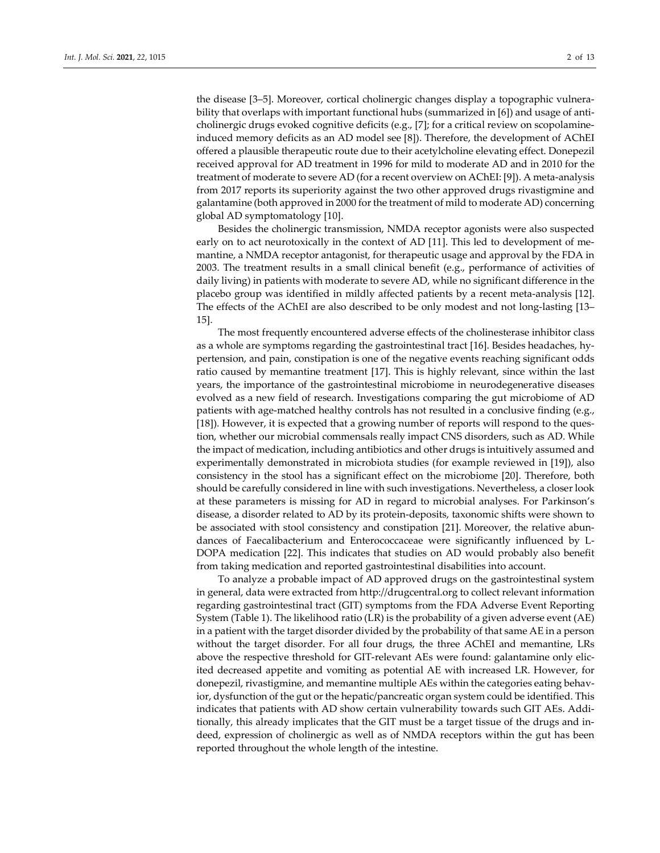the disease [3–5]. Moreover, cortical cholinergic changes display a topographic vulnerability that overlaps with important functional hubs (summarized in [6]) and usage of anticholinergic drugs evoked cognitive deficits (e.g., [7]; for a critical review on scopolamineinduced memory deficits as an AD model see [8]). Therefore, the development of AChEI offered a plausible therapeutic route due to their acetylcholine elevating effect. Donepezil received approval for AD treatment in 1996 for mild to moderate AD and in 2010 for the treatment of moderate to severe AD (for a recent overview on AChEI: [9]). A meta-analysis from 2017 reports its superiority against the two other approved drugs rivastigmine and galantamine (both approved in 2000 for the treatment of mild to moderate AD) concerning global AD symptomatology [10].

Besides the cholinergic transmission, NMDA receptor agonists were also suspected early on to act neurotoxically in the context of AD [11]. This led to development of memantine, a NMDA receptor antagonist, for therapeutic usage and approval by the FDA in 2003. The treatment results in a small clinical benefit (e.g., performance of activities of daily living) in patients with moderate to severe AD, while no significant difference in the placebo group was identified in mildly affected patients by a recent meta-analysis [12]. The effects of the AChEI are also described to be only modest and not long-lasting [13– 15].

The most frequently encountered adverse effects of the cholinesterase inhibitor class as a whole are symptoms regarding the gastrointestinal tract [16]. Besides headaches, hypertension, and pain, constipation is one of the negative events reaching significant odds ratio caused by memantine treatment [17]. This is highly relevant, since within the last years, the importance of the gastrointestinal microbiome in neurodegenerative diseases evolved as a new field of research. Investigations comparing the gut microbiome of AD patients with age-matched healthy controls has not resulted in a conclusive finding (e.g., [18]). However, it is expected that a growing number of reports will respond to the question, whether our microbial commensals really impact CNS disorders, such as AD. While the impact of medication, including antibiotics and other drugs is intuitively assumed and experimentally demonstrated in microbiota studies (for example reviewed in [19]), also consistency in the stool has a significant effect on the microbiome [20]. Therefore, both should be carefully considered in line with such investigations. Nevertheless, a closer look at these parameters is missing for AD in regard to microbial analyses. For Parkinson's disease, a disorder related to AD by its protein-deposits, taxonomic shifts were shown to be associated with stool consistency and constipation [21]. Moreover, the relative abundances of Faecalibacterium and Enterococcaceae were significantly influenced by L-DOPA medication [22]. This indicates that studies on AD would probably also benefit from taking medication and reported gastrointestinal disabilities into account.

To analyze a probable impact of AD approved drugs on the gastrointestinal system in general, data were extracted from http://drugcentral.org to collect relevant information regarding gastrointestinal tract (GIT) symptoms from the FDA Adverse Event Reporting System (Table 1). The likelihood ratio (LR) is the probability of a given adverse event (AE) in a patient with the target disorder divided by the probability of that same AE in a person without the target disorder. For all four drugs, the three AChEI and memantine, LRs above the respective threshold for GIT-relevant AEs were found: galantamine only elicited decreased appetite and vomiting as potential AE with increased LR. However, for donepezil, rivastigmine, and memantine multiple AEs within the categories eating behavior, dysfunction of the gut or the hepatic/pancreatic organ system could be identified. This indicates that patients with AD show certain vulnerability towards such GIT AEs. Additionally, this already implicates that the GIT must be a target tissue of the drugs and indeed, expression of cholinergic as well as of NMDA receptors within the gut has been reported throughout the whole length of the intestine.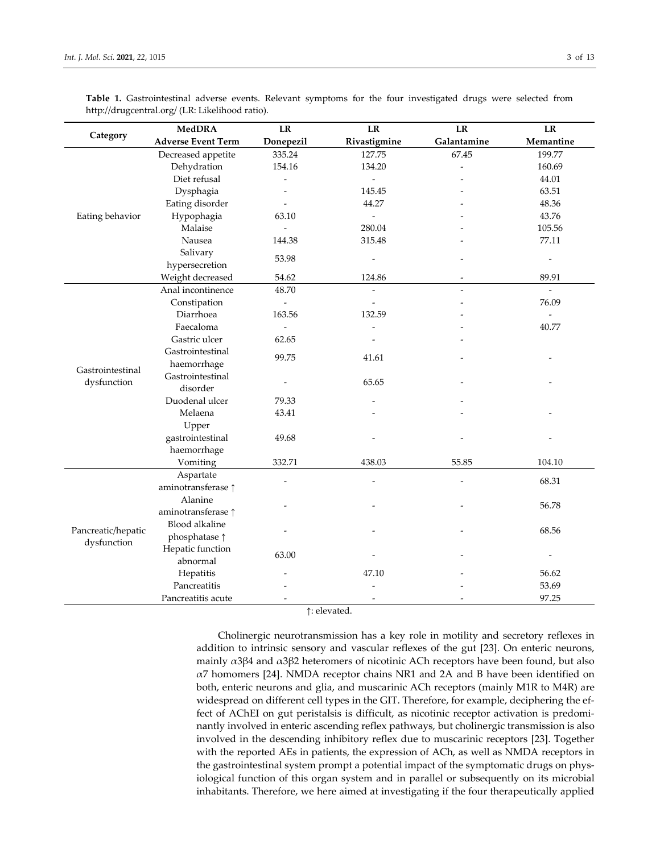| Category                          | <b>MedDRA</b>             | $\rm LR$                 | LR                       | $\rm LR$    | $\mathbf{L}\mathbf{R}$   |
|-----------------------------------|---------------------------|--------------------------|--------------------------|-------------|--------------------------|
|                                   | <b>Adverse Event Term</b> | Donepezil                | Rivastigmine             | Galantamine | Memantine                |
| Eating behavior                   | Decreased appetite        | 335.24                   | 127.75                   | 67.45       | 199.77                   |
|                                   | Dehydration               | 154.16                   | 134.20                   |             | 160.69                   |
|                                   | Diet refusal              |                          | $\overline{\phantom{a}}$ |             | 44.01                    |
|                                   | Dysphagia                 |                          | 145.45                   |             | 63.51                    |
|                                   | Eating disorder           |                          | 44.27                    |             | 48.36                    |
|                                   | Hypophagia                | 63.10                    | $\overline{\phantom{a}}$ |             | 43.76                    |
|                                   | Malaise                   | $\overline{\phantom{a}}$ | 280.04                   |             | 105.56                   |
|                                   | Nausea                    | 144.38                   | 315.48                   |             | 77.11                    |
|                                   | Salivary                  | 53.98                    | $\overline{\phantom{a}}$ |             | $\overline{\phantom{a}}$ |
|                                   | hypersecretion            |                          |                          |             |                          |
|                                   | Weight decreased          | 54.62                    | 124.86                   | ÷           | 89.91                    |
| Gastrointestinal<br>dysfunction   | Anal incontinence         | 48.70                    | $\overline{\phantom{a}}$ |             | $\overline{\phantom{a}}$ |
|                                   | Constipation              | $\frac{1}{2}$            |                          |             | 76.09                    |
|                                   | Diarrhoea                 | 163.56                   | 132.59                   |             |                          |
|                                   | Faecaloma                 | $\bar{\phantom{a}}$      |                          |             | 40.77                    |
|                                   | Gastric ulcer             | 62.65                    |                          |             |                          |
|                                   | Gastrointestinal          | 99.75                    | 41.61                    |             |                          |
|                                   | haemorrhage               |                          |                          |             |                          |
|                                   | Gastrointestinal          | $\overline{\phantom{m}}$ | 65.65                    |             |                          |
|                                   | disorder                  |                          |                          |             |                          |
|                                   | Duodenal ulcer            | 79.33                    |                          |             |                          |
|                                   | Melaena                   | 43.41                    |                          |             |                          |
|                                   | Upper                     |                          |                          |             |                          |
|                                   | gastrointestinal          | 49.68                    |                          |             |                          |
|                                   | haemorrhage               |                          |                          |             |                          |
|                                   | Vomiting                  | 332.71                   | 438.03                   | 55.85       | 104.10                   |
| Pancreatic/hepatic<br>dysfunction | Aspartate                 |                          | $\overline{a}$           |             | 68.31                    |
|                                   | aminotransferase 1        |                          |                          |             |                          |
|                                   | Alanine                   |                          |                          |             | 56.78                    |
|                                   | aminotransferase 1        |                          |                          |             |                          |
|                                   | Blood alkaline            |                          |                          |             | 68.56                    |
|                                   | phosphatase 1             |                          |                          |             |                          |
|                                   | Hepatic function          | 63.00                    |                          |             |                          |
|                                   | abnormal                  |                          |                          |             |                          |
|                                   | Hepatitis                 |                          | 47.10                    |             | 56.62                    |
|                                   | Pancreatitis              |                          | $\overline{a}$           |             | 53.69                    |
|                                   | Pancreatitis acute        | $\overline{a}$           | $\overline{\phantom{a}}$ |             | 97.25                    |

**Table 1.** Gastrointestinal adverse events. Relevant symptoms for the four investigated drugs were selected from http://drugcentral.org/ (LR: Likelihood ratio).

↑: elevated.

Cholinergic neurotransmission has a key role in motility and secretory reflexes in addition to intrinsic sensory and vascular reflexes of the gut [23]. On enteric neurons, mainly  $\alpha$ 3β4 and  $\alpha$ 3β2 heteromers of nicotinic ACh receptors have been found, but also α7 homomers [24]. NMDA receptor chains NR1 and 2A and B have been identified on both, enteric neurons and glia, and muscarinic ACh receptors (mainly M1R to M4R) are widespread on different cell types in the GIT. Therefore, for example, deciphering the effect of AChEI on gut peristalsis is difficult, as nicotinic receptor activation is predominantly involved in enteric ascending reflex pathways, but cholinergic transmission is also involved in the descending inhibitory reflex due to muscarinic receptors [23]. Together with the reported AEs in patients, the expression of ACh, as well as NMDA receptors in the gastrointestinal system prompt a potential impact of the symptomatic drugs on physiological function of this organ system and in parallel or subsequently on its microbial inhabitants. Therefore, we here aimed at investigating if the four therapeutically applied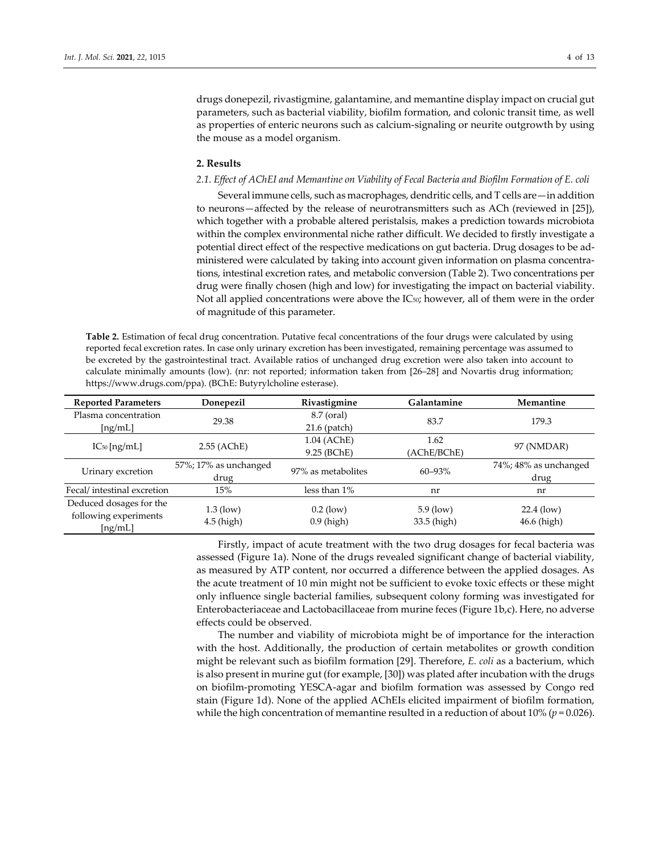drugs donepezil, rivastigmine, galantamine, and memantine display impact on crucial gut parameters, such as bacterial viability, biofilm formation, and colonic transit time, as well as properties of enteric neurons such as calcium-signaling or neurite outgrowth by using the mouse as a model organism.

#### **2. Results**

## *2.1. Effect of AChEI and Memantine on Viability of Fecal Bacteria and Biofilm Formation of E. coli*

Several immune cells, such as macrophages, dendritic cells, and T cells are—in addition to neurons—affected by the release of neurotransmitters such as ACh (reviewed in [25]), which together with a probable altered peristalsis, makes a prediction towards microbiota within the complex environmental niche rather difficult. We decided to firstly investigate a potential direct effect of the respective medications on gut bacteria. Drug dosages to be administered were calculated by taking into account given information on plasma concentrations, intestinal excretion rates, and metabolic conversion (Table 2). Two concentrations per drug were finally chosen (high and low) for investigating the impact on bacterial viability. Not all applied concentrations were above the IC<sub>50</sub>; however, all of them were in the order of magnitude of this parameter.

**Table 2.** Estimation of fecal drug concentration. Putative fecal concentrations of the four drugs were calculated by using reported fecal excretion rates. In case only urinary excretion has been investigated, remaining percentage was assumed to be excreted by the gastrointestinal tract. Available ratios of unchanged drug excretion were also taken into account to calculate minimally amounts (low). (nr: not reported; information taken from [26–28] and Novartis drug information; https://www.drugs.com/ppa). (BChE: Butyrylcholine esterase).

| <b>Reported Parameters</b> | Donepezil             | Rivastigmine       | Galantamine | Memantine             |  |
|----------------------------|-----------------------|--------------------|-------------|-----------------------|--|
| Plasma concentration       | 29.38                 | 8.7 (oral)         | 83.7        | 179.3                 |  |
| [ng/mL]                    |                       | $21.6$ (patch)     |             |                       |  |
|                            | 2.55 (AChE)           | 1.04 (AChE)        | 1.62        | 97 (NMDAR)            |  |
| $IC_{50}$ [ng/mL]          |                       | 9.25 (BChE)        | (AChE/BChE) |                       |  |
|                            | 57%; 17% as unchanged | 97% as metabolites | $60 - 93%$  | 74%; 48% as unchanged |  |
| Urinary excretion          | drug                  |                    |             | drug                  |  |
| Fecal/intestinal excretion | 15%                   | less than $1\%$    | nr          | nr                    |  |
| Deduced dosages for the    |                       |                    |             |                       |  |
| following experiments      | $1.3$ (low)           | $0.2$ (low)        | $5.9$ (low) | $22.4$ (low)          |  |
| [ng/mL]                    | $4.5$ (high)          | $0.9$ (high)       | 33.5 (high) | 46.6 (high)           |  |

Firstly, impact of acute treatment with the two drug dosages for fecal bacteria was assessed (Figure 1a). None of the drugs revealed significant change of bacterial viability, as measured by ATP content, nor occurred a difference between the applied dosages. As the acute treatment of 10 min might not be sufficient to evoke toxic effects or these might only influence single bacterial families, subsequent colony forming was investigated for Enterobacteriaceae and Lactobacillaceae from murine feces (Figure 1b,c). Here, no adverse effects could be observed.

The number and viability of microbiota might be of importance for the interaction with the host. Additionally, the production of certain metabolites or growth condition might be relevant such as biofilm formation [29]. Therefore, *E. coli* as a bacterium, which is also present in murine gut (for example, [30]) was plated after incubation with the drugs on biofilm-promoting YESCA-agar and biofilm formation was assessed by Congo red stain (Figure 1d). None of the applied AChEIs elicited impairment of biofilm formation, while the high concentration of memantine resulted in a reduction of about 10% (*p* = 0.026).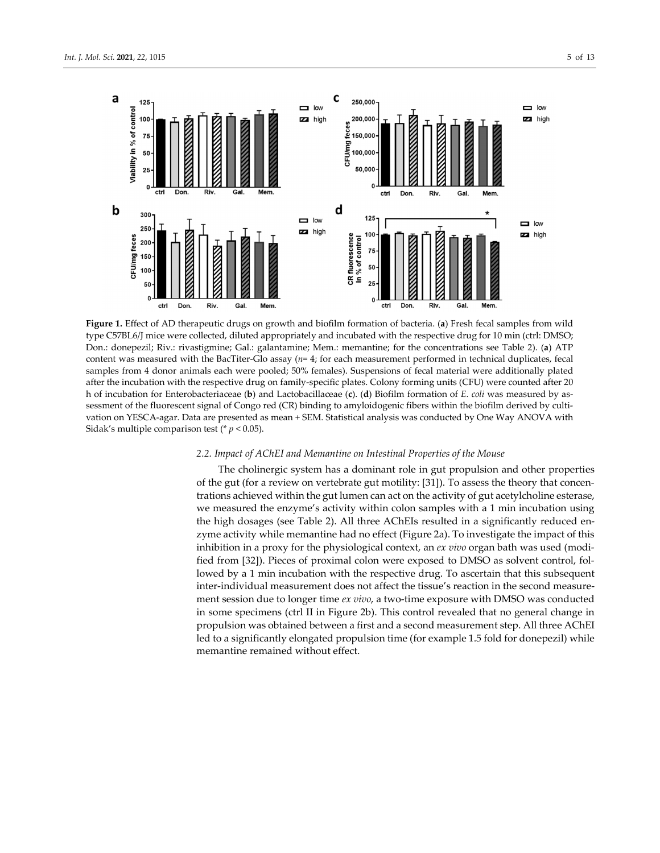

**Figure 1.** Effect of AD therapeutic drugs on growth and biofilm formation of bacteria. (**a**) Fresh fecal samples from wild type C57BL6/J mice were collected, diluted appropriately and incubated with the respective drug for 10 min (ctrl: DMSO; Don.: donepezil; Riv.: rivastigmine; Gal.: galantamine; Mem.: memantine; for the concentrations see Table 2). (**a**) ATP content was measured with the BacTiter-Glo assay (*n*= 4; for each measurement performed in technical duplicates, fecal samples from 4 donor animals each were pooled; 50% females). Suspensions of fecal material were additionally plated after the incubation with the respective drug on family-specific plates. Colony forming units (CFU) were counted after 20 h of incubation for Enterobacteriaceae (**b**) and Lactobacillaceae (**c**). (**d**) Biofilm formation of *E. coli* was measured by assessment of the fluorescent signal of Congo red (CR) binding to amyloidogenic fibers within the biofilm derived by cultivation on YESCA-agar. Data are presented as mean + SEM. Statistical analysis was conducted by One Way ANOVA with Sidak's multiple comparison test (\* *p* < 0.05).

## *2.2. Impact of AChEI and Memantine on Intestinal Properties of the Mouse*

The cholinergic system has a dominant role in gut propulsion and other properties of the gut (for a review on vertebrate gut motility: [31]). To assess the theory that concentrations achieved within the gut lumen can act on the activity of gut acetylcholine esterase, we measured the enzyme's activity within colon samples with a 1 min incubation using the high dosages (see Table 2). All three AChEIs resulted in a significantly reduced enzyme activity while memantine had no effect (Figure 2a). To investigate the impact of this inhibition in a proxy for the physiological context, an *ex vivo* organ bath was used (modified from [32]). Pieces of proximal colon were exposed to DMSO as solvent control, followed by a 1 min incubation with the respective drug. To ascertain that this subsequent inter-individual measurement does not affect the tissue's reaction in the second measurement session due to longer time *ex vivo*, a two-time exposure with DMSO was conducted in some specimens (ctrl II in Figure 2b). This control revealed that no general change in propulsion was obtained between a first and a second measurement step. All three AChEI led to a significantly elongated propulsion time (for example 1.5 fold for donepezil) while memantine remained without effect.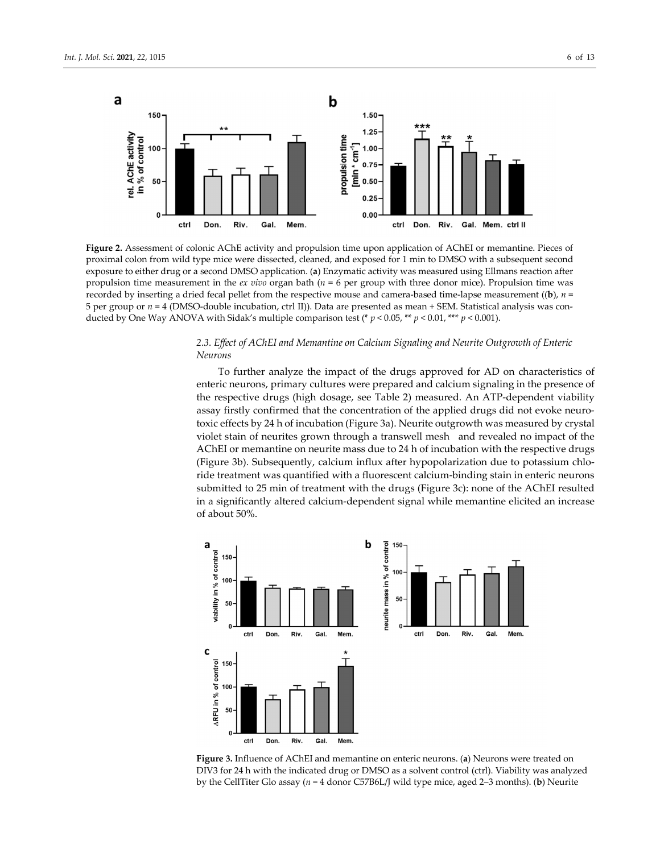

**Figure 2.** Assessment of colonic AChE activity and propulsion time upon application of AChEI or memantine. Pieces of proximal colon from wild type mice were dissected, cleaned, and exposed for 1 min to DMSO with a subsequent second exposure to either drug or a second DMSO application. (**a**) Enzymatic activity was measured using Ellmans reaction after propulsion time measurement in the *ex vivo* organ bath (*n* = 6 per group with three donor mice). Propulsion time was recorded by inserting a dried fecal pellet from the respective mouse and camera-based time-lapse measurement ((**b**), *n* = 5 per group or *n* = 4 (DMSO-double incubation, ctrl II)). Data are presented as mean + SEM. Statistical analysis was conducted by One Way ANOVA with Sidak's multiple comparison test (\* *p* < 0.05, \*\* *p* < 0.01, \*\*\* *p* < 0.001).

# *2.3. Effect of AChEI and Memantine on Calcium Signaling and Neurite Outgrowth of Enteric Neurons*

To further analyze the impact of the drugs approved for AD on characteristics of enteric neurons, primary cultures were prepared and calcium signaling in the presence of the respective drugs (high dosage, see Table 2) measured. An ATP-dependent viability assay firstly confirmed that the concentration of the applied drugs did not evoke neurotoxic effects by 24 h of incubation (Figure 3a). Neurite outgrowth was measured by crystal violet stain of neurites grown through a transwell mesh and revealed no impact of the AChEI or memantine on neurite mass due to 24 h of incubation with the respective drugs (Figure 3b). Subsequently, calcium influx after hypopolarization due to potassium chloride treatment was quantified with a fluorescent calcium-binding stain in enteric neurons submitted to 25 min of treatment with the drugs (Figure 3c): none of the AChEI resulted in a significantly altered calcium-dependent signal while memantine elicited an increase of about 50%.



**Figure 3.** Influence of AChEI and memantine on enteric neurons. (**a**) Neurons were treated on DIV3 for 24 h with the indicated drug or DMSO as a solvent control (ctrl). Viability was analyzed by the CellTiter Glo assay (*n* = 4 donor C57B6L/J wild type mice, aged 2–3 months). (**b**) Neurite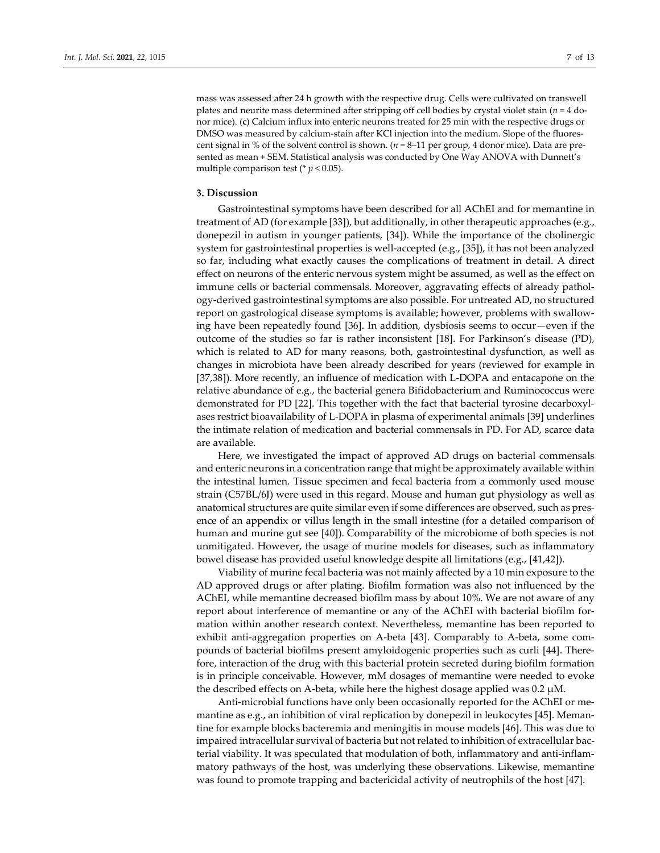mass was assessed after 24 h growth with the respective drug. Cells were cultivated on transwell plates and neurite mass determined after stripping off cell bodies by crystal violet stain (*n* = 4 donor mice). (**c**) Calcium influx into enteric neurons treated for 25 min with the respective drugs or DMSO was measured by calcium-stain after KCl injection into the medium. Slope of the fluorescent signal in % of the solvent control is shown. (*n* = 8–11 per group, 4 donor mice). Data are presented as mean + SEM. Statistical analysis was conducted by One Way ANOVA with Dunnett's multiple comparison test ( $p < 0.05$ ).

#### **3. Discussion**

Gastrointestinal symptoms have been described for all AChEI and for memantine in treatment of AD (for example [33]), but additionally, in other therapeutic approaches (e.g., donepezil in autism in younger patients, [34]). While the importance of the cholinergic system for gastrointestinal properties is well-accepted (e.g., [35]), it has not been analyzed so far, including what exactly causes the complications of treatment in detail. A direct effect on neurons of the enteric nervous system might be assumed, as well as the effect on immune cells or bacterial commensals. Moreover, aggravating effects of already pathology-derived gastrointestinal symptoms are also possible. For untreated AD, no structured report on gastrological disease symptoms is available; however, problems with swallowing have been repeatedly found [36]. In addition, dysbiosis seems to occur—even if the outcome of the studies so far is rather inconsistent [18]. For Parkinson's disease (PD), which is related to AD for many reasons, both, gastrointestinal dysfunction, as well as changes in microbiota have been already described for years (reviewed for example in [37,38]). More recently, an influence of medication with L-DOPA and entacapone on the relative abundance of e.g., the bacterial genera Bifidobacterium and Ruminococcus were demonstrated for PD [22]. This together with the fact that bacterial tyrosine decarboxylases restrict bioavailability of L-DOPA in plasma of experimental animals [39] underlines the intimate relation of medication and bacterial commensals in PD. For AD, scarce data are available.

Here, we investigated the impact of approved AD drugs on bacterial commensals and enteric neurons in a concentration range that might be approximately available within the intestinal lumen. Tissue specimen and fecal bacteria from a commonly used mouse strain (C57BL/6J) were used in this regard. Mouse and human gut physiology as well as anatomical structures are quite similar even if some differences are observed, such as presence of an appendix or villus length in the small intestine (for a detailed comparison of human and murine gut see [40]). Comparability of the microbiome of both species is not unmitigated. However, the usage of murine models for diseases, such as inflammatory bowel disease has provided useful knowledge despite all limitations (e.g., [41,42]).

Viability of murine fecal bacteria was not mainly affected by a 10 min exposure to the AD approved drugs or after plating. Biofilm formation was also not influenced by the AChEI, while memantine decreased biofilm mass by about 10%. We are not aware of any report about interference of memantine or any of the AChEI with bacterial biofilm formation within another research context. Nevertheless, memantine has been reported to exhibit anti-aggregation properties on A-beta [43]. Comparably to A-beta, some compounds of bacterial biofilms present amyloidogenic properties such as curli [44]. Therefore, interaction of the drug with this bacterial protein secreted during biofilm formation is in principle conceivable. However, mM dosages of memantine were needed to evoke the described effects on A-beta, while here the highest dosage applied was  $0.2 \mu M$ .

Anti-microbial functions have only been occasionally reported for the AChEI or memantine as e.g., an inhibition of viral replication by donepezil in leukocytes [45]. Memantine for example blocks bacteremia and meningitis in mouse models [46]. This was due to impaired intracellular survival of bacteria but not related to inhibition of extracellular bacterial viability. It was speculated that modulation of both, inflammatory and anti-inflammatory pathways of the host, was underlying these observations. Likewise, memantine was found to promote trapping and bactericidal activity of neutrophils of the host [47].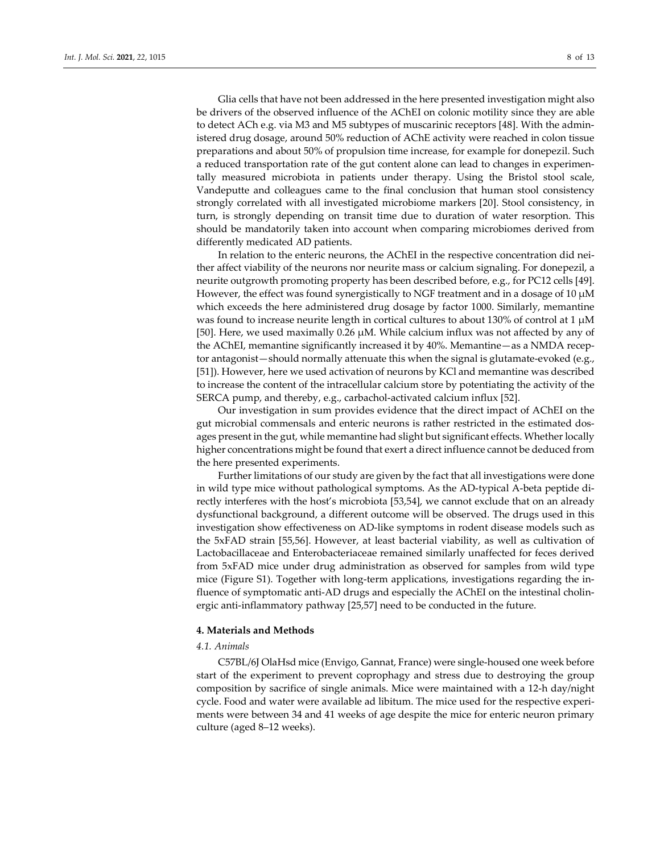Glia cells that have not been addressed in the here presented investigation might also be drivers of the observed influence of the AChEI on colonic motility since they are able to detect ACh e.g. via M3 and M5 subtypes of muscarinic receptors [48]. With the administered drug dosage, around 50% reduction of AChE activity were reached in colon tissue preparations and about 50% of propulsion time increase, for example for donepezil. Such a reduced transportation rate of the gut content alone can lead to changes in experimentally measured microbiota in patients under therapy. Using the Bristol stool scale, Vandeputte and colleagues came to the final conclusion that human stool consistency strongly correlated with all investigated microbiome markers [20]. Stool consistency, in turn, is strongly depending on transit time due to duration of water resorption. This should be mandatorily taken into account when comparing microbiomes derived from

In relation to the enteric neurons, the AChEI in the respective concentration did neither affect viability of the neurons nor neurite mass or calcium signaling. For donepezil, a neurite outgrowth promoting property has been described before, e.g., for PC12 cells [49]. However, the effect was found synergistically to NGF treatment and in a dosage of  $10 \mu M$ which exceeds the here administered drug dosage by factor 1000. Similarly, memantine was found to increase neurite length in cortical cultures to about 130% of control at 1  $\mu$ M [50]. Here, we used maximally 0.26 µM. While calcium influx was not affected by any of the AChEI, memantine significantly increased it by 40%. Memantine—as a NMDA receptor antagonist—should normally attenuate this when the signal is glutamate-evoked (e.g., [51]). However, here we used activation of neurons by KCl and memantine was described to increase the content of the intracellular calcium store by potentiating the activity of the SERCA pump, and thereby, e.g., carbachol-activated calcium influx [52].

Our investigation in sum provides evidence that the direct impact of AChEI on the gut microbial commensals and enteric neurons is rather restricted in the estimated dosages present in the gut, while memantine had slight but significant effects. Whether locally higher concentrations might be found that exert a direct influence cannot be deduced from the here presented experiments.

Further limitations of our study are given by the fact that all investigations were done in wild type mice without pathological symptoms. As the AD-typical A-beta peptide directly interferes with the host's microbiota [53,54], we cannot exclude that on an already dysfunctional background, a different outcome will be observed. The drugs used in this investigation show effectiveness on AD-like symptoms in rodent disease models such as the 5xFAD strain [55,56]. However, at least bacterial viability, as well as cultivation of Lactobacillaceae and Enterobacteriaceae remained similarly unaffected for feces derived from 5xFAD mice under drug administration as observed for samples from wild type mice (Figure S1). Together with long-term applications, investigations regarding the influence of symptomatic anti-AD drugs and especially the AChEI on the intestinal cholinergic anti-inflammatory pathway [25,57] need to be conducted in the future.

## **4. Materials and Methods**

differently medicated AD patients.

# *4.1. Animals*

C57BL/6J OlaHsd mice (Envigo, Gannat, France) were single-housed one week before start of the experiment to prevent coprophagy and stress due to destroying the group composition by sacrifice of single animals. Mice were maintained with a 12-h day/night cycle. Food and water were available ad libitum. The mice used for the respective experiments were between 34 and 41 weeks of age despite the mice for enteric neuron primary culture (aged 8–12 weeks).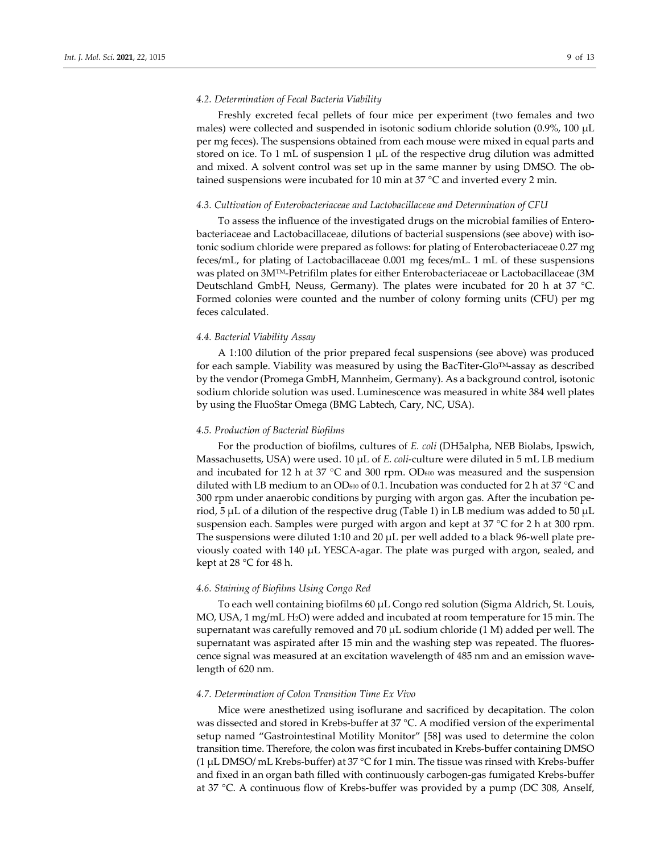#### *4.2. Determination of Fecal Bacteria Viability*

Freshly excreted fecal pellets of four mice per experiment (two females and two males) were collected and suspended in isotonic sodium chloride solution (0.9%, 100 µL per mg feces). The suspensions obtained from each mouse were mixed in equal parts and stored on ice. To 1 mL of suspension 1  $\mu$ L of the respective drug dilution was admitted and mixed. A solvent control was set up in the same manner by using DMSO. The obtained suspensions were incubated for 10 min at 37 °C and inverted every 2 min.

#### *4.3. Cultivation of Enterobacteriaceae and Lactobacillaceae and Determination of CFU*

To assess the influence of the investigated drugs on the microbial families of Enterobacteriaceae and Lactobacillaceae, dilutions of bacterial suspensions (see above) with isotonic sodium chloride were prepared as follows: for plating of Enterobacteriaceae 0.27 mg feces/mL, for plating of Lactobacillaceae 0.001 mg feces/mL. 1 mL of these suspensions was plated on 3MTM-Petrifilm plates for either Enterobacteriaceae or Lactobacillaceae (3M Deutschland GmbH, Neuss, Germany). The plates were incubated for 20 h at 37 °C. Formed colonies were counted and the number of colony forming units (CFU) per mg feces calculated.

# *4.4. Bacterial Viability Assay*

A 1:100 dilution of the prior prepared fecal suspensions (see above) was produced for each sample. Viability was measured by using the BacTiter-Glo $^{TM}$ -assay as described by the vendor (Promega GmbH, Mannheim, Germany). As a background control, isotonic sodium chloride solution was used. Luminescence was measured in white 384 well plates by using the FluoStar Omega (BMG Labtech, Cary, NC, USA).

## *4.5. Production of Bacterial Biofilms*

For the production of biofilms, cultures of *E. coli* (DH5alpha, NEB Biolabs, Ipswich, Massachusetts, USA) were used. 10 µL of *E. coli*-culture were diluted in 5 mL LB medium and incubated for 12 h at 37  $^{\circ}$ C and 300 rpm. OD<sub>600</sub> was measured and the suspension diluted with LB medium to an OD<sub>600</sub> of 0.1. Incubation was conducted for 2 h at 37 °C and 300 rpm under anaerobic conditions by purging with argon gas. After the incubation period, 5  $\mu$ L of a dilution of the respective drug (Table 1) in LB medium was added to 50  $\mu$ L suspension each. Samples were purged with argon and kept at 37 °C for 2 h at 300 rpm. The suspensions were diluted 1:10 and 20  $\mu$ L per well added to a black 96-well plate previously coated with 140 µL YESCA-agar. The plate was purged with argon, sealed, and kept at 28 °C for 48 h.

## *4.6. Staining of Biofilms Using Congo Red*

To each well containing biofilms 60 µL Congo red solution (Sigma Aldrich, St. Louis, MO, USA, 1 mg/mL H2O) were added and incubated at room temperature for 15 min. The supernatant was carefully removed and 70  $\mu$ L sodium chloride (1 M) added per well. The supernatant was aspirated after 15 min and the washing step was repeated. The fluorescence signal was measured at an excitation wavelength of 485 nm and an emission wavelength of 620 nm.

## *4.7. Determination of Colon Transition Time Ex Vivo*

Mice were anesthetized using isoflurane and sacrificed by decapitation. The colon was dissected and stored in Krebs-buffer at 37 °C. A modified version of the experimental setup named "Gastrointestinal Motility Monitor" [58] was used to determine the colon transition time. Therefore, the colon was first incubated in Krebs-buffer containing DMSO (1 µL DMSO/ mL Krebs-buffer) at 37 °C for 1 min. The tissue was rinsed with Krebs-buffer and fixed in an organ bath filled with continuously carbogen-gas fumigated Krebs-buffer at 37 °C. A continuous flow of Krebs-buffer was provided by a pump (DC 308, Anself,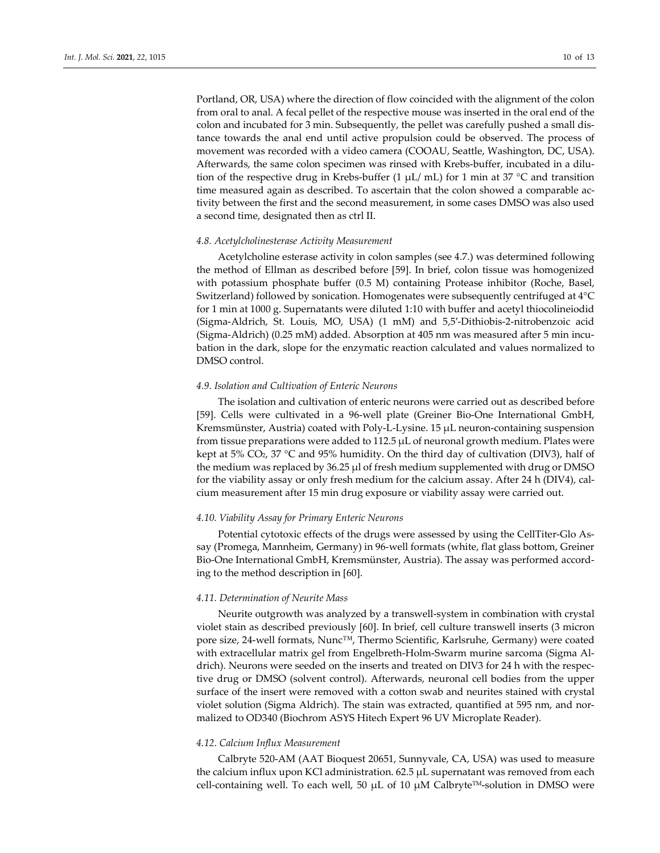Portland, OR, USA) where the direction of flow coincided with the alignment of the colon from oral to anal. A fecal pellet of the respective mouse was inserted in the oral end of the colon and incubated for 3 min. Subsequently, the pellet was carefully pushed a small distance towards the anal end until active propulsion could be observed. The process of movement was recorded with a video camera (COOAU, Seattle, Washington, DC, USA). Afterwards, the same colon specimen was rinsed with Krebs-buffer, incubated in a dilution of the respective drug in Krebs-buffer (1  $\mu$ L/ mL) for 1 min at 37 °C and transition time measured again as described. To ascertain that the colon showed a comparable activity between the first and the second measurement, in some cases DMSO was also used a second time, designated then as ctrl II.

## *4.8. Acetylcholinesterase Activity Measurement*

Acetylcholine esterase activity in colon samples (see 4.7.) was determined following the method of Ellman as described before [59]. In brief, colon tissue was homogenized with potassium phosphate buffer (0.5 M) containing Protease inhibitor (Roche, Basel, Switzerland) followed by sonication. Homogenates were subsequently centrifuged at 4°C for 1 min at 1000 g. Supernatants were diluted 1:10 with buffer and acetyl thiocolineiodid (Sigma-Aldrich, St. Louis, MO, USA) (1 mM) and 5,5′-Dithiobis-2-nitrobenzoic acid (Sigma-Aldrich) (0.25 mM) added. Absorption at 405 nm was measured after 5 min incubation in the dark, slope for the enzymatic reaction calculated and values normalized to DMSO control.

#### *4.9. Isolation and Cultivation of Enteric Neurons*

The isolation and cultivation of enteric neurons were carried out as described before [59]. Cells were cultivated in a 96-well plate (Greiner Bio-One International GmbH, Kremsmünster, Austria) coated with Poly-L-Lysine.  $15 \mu L$  neuron-containing suspension from tissue preparations were added to  $112.5 \mu L$  of neuronal growth medium. Plates were kept at 5% CO<sub>2</sub>, 37 °C and 95% humidity. On the third day of cultivation (DIV3), half of the medium was replaced by 36.25 µl of fresh medium supplemented with drug or DMSO for the viability assay or only fresh medium for the calcium assay. After 24 h (DIV4), calcium measurement after 15 min drug exposure or viability assay were carried out.

#### *4.10. Viability Assay for Primary Enteric Neurons*

Potential cytotoxic effects of the drugs were assessed by using the CellTiter-Glo Assay (Promega, Mannheim, Germany) in 96-well formats (white, flat glass bottom, Greiner Bio-One International GmbH, Kremsmünster, Austria). The assay was performed according to the method description in [60].

# *4.11. Determination of Neurite Mass*

Neurite outgrowth was analyzed by a transwell-system in combination with crystal violet stain as described previously [60]. In brief, cell culture transwell inserts (3 micron pore size, 24-well formats, Nunc™, Thermo Scientific, Karlsruhe, Germany) were coated with extracellular matrix gel from Engelbreth-Holm-Swarm murine sarcoma (Sigma Aldrich). Neurons were seeded on the inserts and treated on DIV3 for 24 h with the respective drug or DMSO (solvent control). Afterwards, neuronal cell bodies from the upper surface of the insert were removed with a cotton swab and neurites stained with crystal violet solution (Sigma Aldrich). The stain was extracted, quantified at 595 nm, and normalized to OD340 (Biochrom ASYS Hitech Expert 96 UV Microplate Reader).

#### *4.12. Calcium Influx Measurement*

Calbryte 520-AM (AAT Bioquest 20651, Sunnyvale, CA, USA) was used to measure the calcium influx upon KCl administration. 62.5 µL supernatant was removed from each cell-containing well. To each well, 50  $\mu$ L of 10  $\mu$ M Calbryte<sup>TM</sup>-solution in DMSO were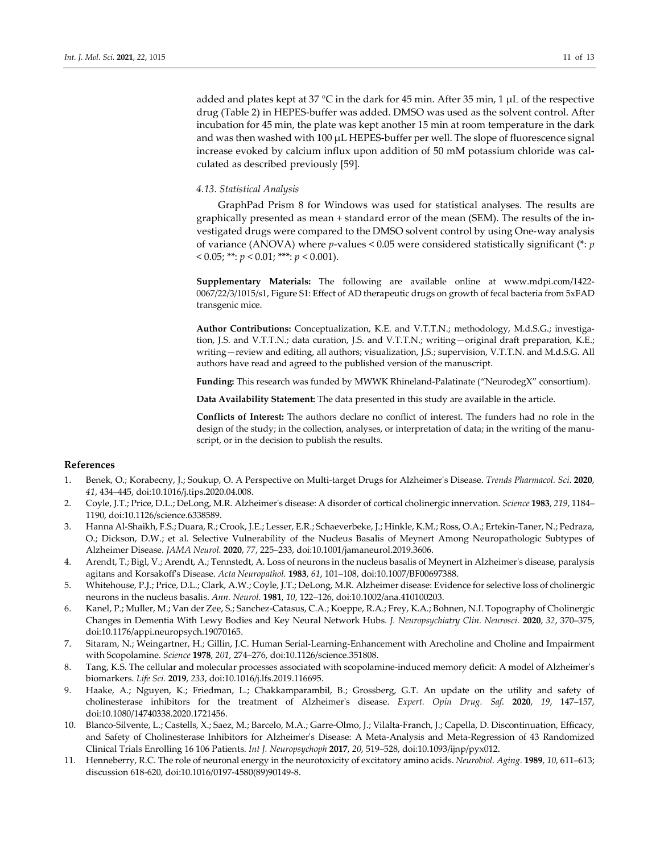added and plates kept at 37 °C in the dark for 45 min. After 35 min, 1  $\mu$ L of the respective drug (Table 2) in HEPES-buffer was added. DMSO was used as the solvent control. After incubation for 45 min, the plate was kept another 15 min at room temperature in the dark and was then washed with  $100 \mu L$  HEPES-buffer per well. The slope of fluorescence signal increase evoked by calcium influx upon addition of 50 mM potassium chloride was calculated as described previously [59].

## *4.13. Statistical Analysis*

GraphPad Prism 8 for Windows was used for statistical analyses. The results are graphically presented as mean + standard error of the mean (SEM). The results of the investigated drugs were compared to the DMSO solvent control by using One-way analysis of variance (ANOVA) where *p*-values < 0.05 were considered statistically significant (\*: *p*  $< 0.05$ ; \*\*:  $p < 0.01$ ; \*\*\*:  $p < 0.001$ ).

**Supplementary Materials:** The following are available online at www.mdpi.com/1422- 0067/22/3/1015/s1, Figure S1: Effect of AD therapeutic drugs on growth of fecal bacteria from 5xFAD transgenic mice.

**Author Contributions:** Conceptualization, K.E. and V.T.T.N.; methodology, M.d.S.G.; investigation, J.S. and V.T.T.N.; data curation, J.S. and V.T.T.N.; writing—original draft preparation, K.E.; writing—review and editing, all authors; visualization, J.S.; supervision, V.T.T.N. and M.d.S.G. All authors have read and agreed to the published version of the manuscript.

**Funding:** This research was funded by MWWK Rhineland-Palatinate ("NeurodegX" consortium).

**Data Availability Statement:** The data presented in this study are available in the article.

**Conflicts of Interest:** The authors declare no conflict of interest. The funders had no role in the design of the study; in the collection, analyses, or interpretation of data; in the writing of the manuscript, or in the decision to publish the results.

# **References**

- 1. Benek, O.; Korabecny, J.; Soukup, O. A Perspective on Multi-target Drugs for Alzheimer's Disease. *Trends Pharmacol. Sci.* **2020**, *41*, 434–445, doi:10.1016/j.tips.2020.04.008.
- 2. Coyle, J.T.; Price, D.L.; DeLong, M.R. Alzheimer's disease: A disorder of cortical cholinergic innervation. *Science* **1983**, *219*, 1184– 1190, doi:10.1126/science.6338589.
- 3. Hanna Al-Shaikh, F.S.; Duara, R.; Crook, J.E.; Lesser, E.R.; Schaeverbeke, J.; Hinkle, K.M.; Ross, O.A.; Ertekin-Taner, N.; Pedraza, O.; Dickson, D.W.; et al. Selective Vulnerability of the Nucleus Basalis of Meynert Among Neuropathologic Subtypes of Alzheimer Disease. *JAMA Neurol.* **2020**, *77*, 225–233, doi:10.1001/jamaneurol.2019.3606.
- 4. Arendt, T.; Bigl, V.; Arendt, A.; Tennstedt, A. Loss of neurons in the nucleus basalis of Meynert in Alzheimer's disease, paralysis agitans and Korsakoff's Disease. *Acta Neuropathol.* **1983**, *61*, 101–108, doi:10.1007/BF00697388.
- 5. Whitehouse, P.J.; Price, D.L.; Clark, A.W.; Coyle, J.T.; DeLong, M.R. Alzheimer disease: Evidence for selective loss of cholinergic neurons in the nucleus basalis. *Ann. Neurol.* **1981**, *10*, 122–126, doi:10.1002/ana.410100203.
- 6. Kanel, P.; Muller, M.; Van der Zee, S.; Sanchez-Catasus, C.A.; Koeppe, R.A.; Frey, K.A.; Bohnen, N.I. Topography of Cholinergic Changes in Dementia With Lewy Bodies and Key Neural Network Hubs. *J. Neuropsychiatry Clin. Neurosci.* **2020**, *32*, 370–375, doi:10.1176/appi.neuropsych.19070165.
- 7. Sitaram, N.; Weingartner, H.; Gillin, J.C. Human Serial-Learning-Enhancement with Arecholine and Choline and Impairment with Scopolamine. *Science* **1978**, *201*, 274–276, doi:10.1126/science.351808.
- 8. Tang, K.S. The cellular and molecular processes associated with scopolamine-induced memory deficit: A model of Alzheimer's biomarkers. *Life Sci.* **2019**, *233*, doi:10.1016/j.lfs.2019.116695.
- 9. Haake, A.; Nguyen, K.; Friedman, L.; Chakkamparambil, B.; Grossberg, G.T. An update on the utility and safety of cholinesterase inhibitors for the treatment of Alzheimer's disease. *Expert. Opin Drug. Saf.* **2020**, *19*, 147–157, doi:10.1080/14740338.2020.1721456.
- 10. Blanco-Silvente, L.; Castells, X.; Saez, M.; Barcelo, M.A.; Garre-Olmo, J.; Vilalta-Franch, J.; Capella, D. Discontinuation, Efficacy, and Safety of Cholinesterase Inhibitors for Alzheimer's Disease: A Meta-Analysis and Meta-Regression of 43 Randomized Clinical Trials Enrolling 16 106 Patients. *Int J. Neuropsychoph* **2017**, *20*, 519–528, doi:10.1093/ijnp/pyx012.
- 11. Henneberry, R.C. The role of neuronal energy in the neurotoxicity of excitatory amino acids. *Neurobiol. Aging.* **1989**, *10*, 611–613; discussion 618-620, doi:10.1016/0197-4580(89)90149-8.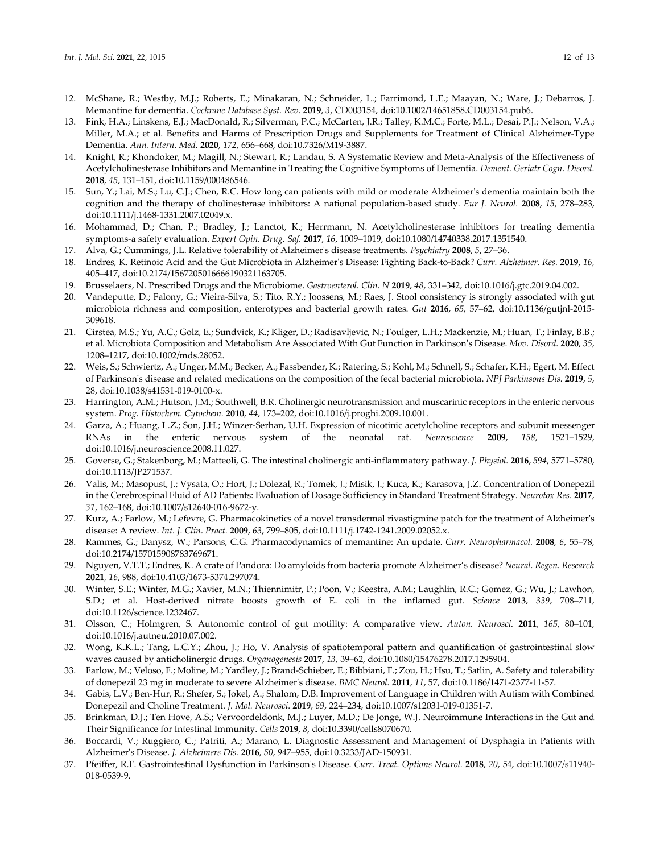- 12. McShane, R.; Westby, M.J.; Roberts, E.; Minakaran, N.; Schneider, L.; Farrimond, L.E.; Maayan, N.; Ware, J.; Debarros, J. Memantine for dementia. *Cochrane Database Syst. Rev.* **2019**, *3*, CD003154, doi:10.1002/14651858.CD003154.pub6.
- 13. Fink, H.A.; Linskens, E.J.; MacDonald, R.; Silverman, P.C.; McCarten, J.R.; Talley, K.M.C.; Forte, M.L.; Desai, P.J.; Nelson, V.A.; Miller, M.A.; et al. Benefits and Harms of Prescription Drugs and Supplements for Treatment of Clinical Alzheimer-Type Dementia. *Ann. Intern. Med.* **2020**, *172*, 656–668, doi:10.7326/M19-3887.
- 14. Knight, R.; Khondoker, M.; Magill, N.; Stewart, R.; Landau, S. A Systematic Review and Meta-Analysis of the Effectiveness of Acetylcholinesterase Inhibitors and Memantine in Treating the Cognitive Symptoms of Dementia. *Dement. Geriatr Cogn. Disord.*  **2018**, *45*, 131–151, doi:10.1159/000486546.
- 15. Sun, Y.; Lai, M.S.; Lu, C.J.; Chen, R.C. How long can patients with mild or moderate Alzheimer's dementia maintain both the cognition and the therapy of cholinesterase inhibitors: A national population-based study. *Eur J. Neurol.* **2008**, *15*, 278–283, doi:10.1111/j.1468-1331.2007.02049.x.
- 16. Mohammad, D.; Chan, P.; Bradley, J.; Lanctot, K.; Herrmann, N. Acetylcholinesterase inhibitors for treating dementia symptoms-a safety evaluation. *Expert Opin. Drug. Saf.* **2017**, *16*, 1009–1019, doi:10.1080/14740338.2017.1351540.
- 17. Alva, G.; Cummings, J.L. Relative tolerability of Alzheimer's disease treatments. *Psychiatry* **2008**, *5*, 27–36.
- 18. Endres, K. Retinoic Acid and the Gut Microbiota in Alzheimer's Disease: Fighting Back-to-Back? *Curr. Alzheimer. Res.* **2019**, *16*, 405–417, doi:10.2174/1567205016666190321163705.
- 19. Brusselaers, N. Prescribed Drugs and the Microbiome. *Gastroenterol. Clin. N* **2019**, *48*, 331–342, doi:10.1016/j.gtc.2019.04.002.
- 20. Vandeputte, D.; Falony, G.; Vieira-Silva, S.; Tito, R.Y.; Joossens, M.; Raes, J. Stool consistency is strongly associated with gut microbiota richness and composition, enterotypes and bacterial growth rates. *Gut* **2016**, *65*, 57–62, doi:10.1136/gutjnl-2015- 309618.
- 21. Cirstea, M.S.; Yu, A.C.; Golz, E.; Sundvick, K.; Kliger, D.; Radisavljevic, N.; Foulger, L.H.; Mackenzie, M.; Huan, T.; Finlay, B.B.; et al. Microbiota Composition and Metabolism Are Associated With Gut Function in Parkinson's Disease. *Mov. Disord.* **2020**, *35*, 1208–1217, doi:10.1002/mds.28052.
- 22. Weis, S.; Schwiertz, A.; Unger, M.M.; Becker, A.; Fassbender, K.; Ratering, S.; Kohl, M.; Schnell, S.; Schafer, K.H.; Egert, M. Effect of Parkinson's disease and related medications on the composition of the fecal bacterial microbiota. *NPJ Parkinsons Dis.* **2019**, *5*, 28, doi:10.1038/s41531-019-0100-x.
- 23. Harrington, A.M.; Hutson, J.M.; Southwell, B.R. Cholinergic neurotransmission and muscarinic receptors in the enteric nervous system. *Prog. Histochem. Cytochem.* **2010**, *44*, 173–202, doi:10.1016/j.proghi.2009.10.001.
- 24. Garza, A.; Huang, L.Z.; Son, J.H.; Winzer-Serhan, U.H. Expression of nicotinic acetylcholine receptors and subunit messenger RNAs in the enteric nervous system of the neonatal rat. *Neuroscience* **2009**, *158*, 1521–1529, doi:10.1016/j.neuroscience.2008.11.027.
- 25. Goverse, G.; Stakenborg, M.; Matteoli, G. The intestinal cholinergic anti-inflammatory pathway. *J. Physiol.* **2016**, *594*, 5771–5780, doi:10.1113/JP271537.
- 26. Valis, M.; Masopust, J.; Vysata, O.; Hort, J.; Dolezal, R.; Tomek, J.; Misik, J.; Kuca, K.; Karasova, J.Z. Concentration of Donepezil in the Cerebrospinal Fluid of AD Patients: Evaluation of Dosage Sufficiency in Standard Treatment Strategy. *Neurotox Res.* **2017**, *31*, 162–168, doi:10.1007/s12640-016-9672-y.
- 27. Kurz, A.; Farlow, M.; Lefevre, G. Pharmacokinetics of a novel transdermal rivastigmine patch for the treatment of Alzheimer's disease: A review. *Int. J. Clin. Pract.* **2009**, *63*, 799–805, doi:10.1111/j.1742-1241.2009.02052.x.
- 28. Rammes, G.; Danysz, W.; Parsons, C.G. Pharmacodynamics of memantine: An update. *Curr. Neuropharmacol.* **2008**, *6*, 55–78, doi:10.2174/157015908783769671.
- 29. Nguyen, V.T.T.; Endres, K. A crate of Pandora: Do amyloids from bacteria promote Alzheimer's disease? *Neural. Regen. Research*  **2021**, *16*, 988, doi:10.4103/1673-5374.297074.
- 30. Winter, S.E.; Winter, M.G.; Xavier, M.N.; Thiennimitr, P.; Poon, V.; Keestra, A.M.; Laughlin, R.C.; Gomez, G.; Wu, J.; Lawhon, S.D.; et al. Host-derived nitrate boosts growth of E. coli in the inflamed gut. *Science* **2013**, *339*, 708–711, doi:10.1126/science.1232467.
- 31. Olsson, C.; Holmgren, S. Autonomic control of gut motility: A comparative view. *Auton. Neurosci.* **2011**, *165*, 80–101, doi:10.1016/j.autneu.2010.07.002.
- 32. Wong, K.K.L.; Tang, L.C.Y.; Zhou, J.; Ho, V. Analysis of spatiotemporal pattern and quantification of gastrointestinal slow waves caused by anticholinergic drugs. *Organogenesis* **2017**, *13*, 39–62, doi:10.1080/15476278.2017.1295904.
- 33. Farlow, M.; Veloso, F.; Moline, M.; Yardley, J.; Brand-Schieber, E.; Bibbiani, F.; Zou, H.; Hsu, T.; Satlin, A. Safety and tolerability of donepezil 23 mg in moderate to severe Alzheimer's disease. *BMC Neurol.* **2011**, *11*, 57, doi:10.1186/1471-2377-11-57.
- 34. Gabis, L.V.; Ben-Hur, R.; Shefer, S.; Jokel, A.; Shalom, D.B. Improvement of Language in Children with Autism with Combined Donepezil and Choline Treatment. *J. Mol. Neurosci.* **2019**, *69*, 224–234, doi:10.1007/s12031-019-01351-7.
- 35. Brinkman, D.J.; Ten Hove, A.S.; Vervoordeldonk, M.J.; Luyer, M.D.; De Jonge, W.J. Neuroimmune Interactions in the Gut and Their Significance for Intestinal Immunity. *Cells* **2019**, *8*, doi:10.3390/cells8070670.
- 36. Boccardi, V.; Ruggiero, C.; Patriti, A.; Marano, L. Diagnostic Assessment and Management of Dysphagia in Patients with Alzheimer's Disease. *J. Alzheimers Dis.* **2016**, *50*, 947–955, doi:10.3233/JAD-150931.
- 37. Pfeiffer, R.F. Gastrointestinal Dysfunction in Parkinson's Disease. *Curr. Treat. Options Neurol.* **2018**, *20*, 54, doi:10.1007/s11940- 018-0539-9.